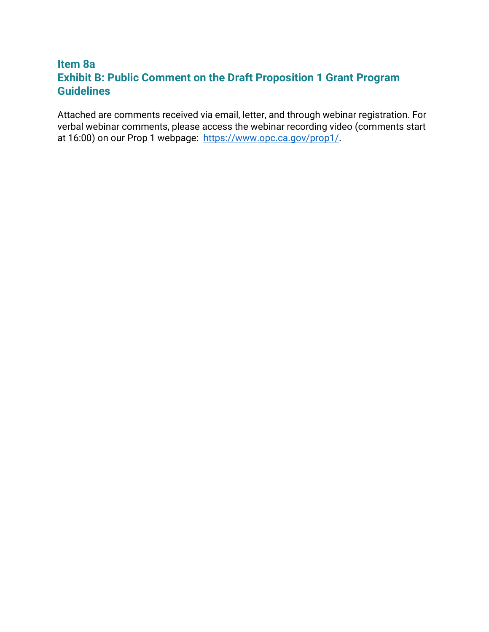# **Exhibit B: Public Comment on the Draft Proposition 1 Grant Program Item 8a Guidelines**

Attached are comments received via email, letter, and through webinar registration. For verbal webinar comments, please access the webinar recording video (comments start at 16:00) on our Prop 1 webpage: [https://www.opc.ca.gov/prop1/.](https://www.opc.ca.gov/prop1/)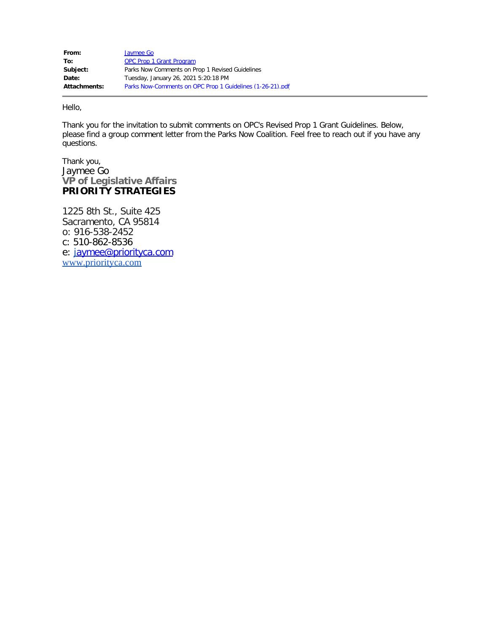| From:        | Jaymee Go                                                 |
|--------------|-----------------------------------------------------------|
| To:          | <b>OPC Prop 1 Grant Program</b>                           |
| Subject:     | Parks Now Comments on Prop 1 Revised Guidelines           |
| Date:        | Tuesday, January 26, 2021 5:20:18 PM                      |
| Attachments: | Parks Now-Comments on OPC Prop 1 Guidelines (1-26-21).pdf |

Hello,

Thank you for the invitation to submit comments on OPC's Revised Prop 1 Grant Guidelines. Below, please find a group comment letter from the Parks Now Coalition. Feel free to reach out if you have any questions.

Thank you, Jaymee Go **VP of Legislative Affairs PRIORITY STRATEGIES** 

1225 8th St., Suite 425 Sacramento, CA 95814 o: 916-538-2452 c: 510-862-8536 e: [j](mailto:alfredo@priorityca.com)[aymee@priorityca.com](mailto:aymee@priorityca.com) [www.priorityca.com](http://www.priorityca.com/)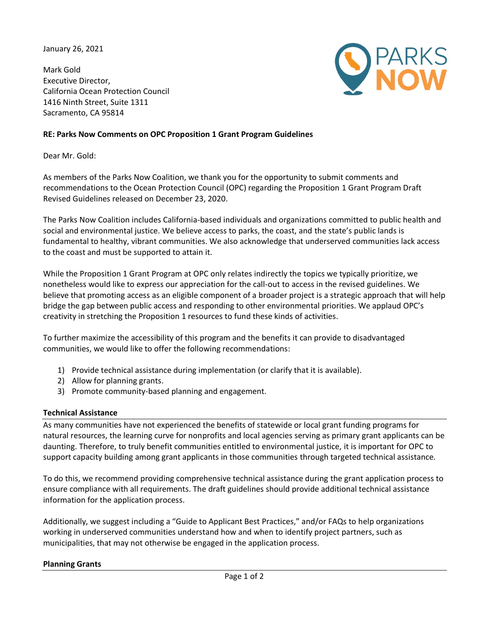January 26, 2021

 Executive Director, Mark Gold California Ocean Protection Council 1416 Ninth Street, Suite 1311 Sacramento, CA 95814



## **RE: Parks Now Comments on OPC Proposition 1 Grant Program Guidelines**

Dear Mr. Gold:

 As members of the Parks Now Coalition, we thank you for the opportunity to submit comments and recommendations to the Ocean Protection Council (OPC) regarding the Proposition 1 Grant Program Draft Revised Guidelines released on December 23, 2020.

 The Parks Now Coalition includes California-based individuals and organizations committed to public health and social and environmental justice. We believe access to parks, the coast, and the state's public lands is fundamental to healthy, vibrant communities. We also acknowledge that underserved communities lack access to the coast and must be supported to attain it.

 While the Proposition 1 Grant Program at OPC only relates indirectly the topics we typically prioritize, we nonetheless would like to express our appreciation for the call-out to access in the revised guidelines. We believe that promoting access as an eligible component of a broader project is a strategic approach that will help bridge the gap between public access and responding to other environmental priorities. We applaud OPC's creativity in stretching the Proposition 1 resources to fund these kinds of activities.

 To further maximize the accessibility of this program and the benefits it can provide to disadvantaged communities, we would like to offer the following recommendations:

- 1) Provide technical assistance during implementation (or clarify that it is available).
- 2) Allow for planning grants.
- 3) Promote community-based planning and engagement.

## **Technical Assistance**

 As many communities have not experienced the benefits of statewide or local grant funding programs for natural resources, the learning curve for nonprofits and local agencies serving as primary grant applicants can be daunting. Therefore, to truly benefit communities entitled to environmental justice, it is important for OPC to support capacity building among grant applicants in those communities through targeted technical assistance.

 To do this, we recommend providing comprehensive technical assistance during the grant application process to ensure compliance with all requirements. The draft guidelines should provide additional technical assistance information for the application process.

 Additionally, we suggest including a "Guide to Applicant Best Practices," and/or FAQs to help organizations working in underserved communities understand how and when to identify project partners, such as municipalities, that may not otherwise be engaged in the application process.

## **Planning Grants**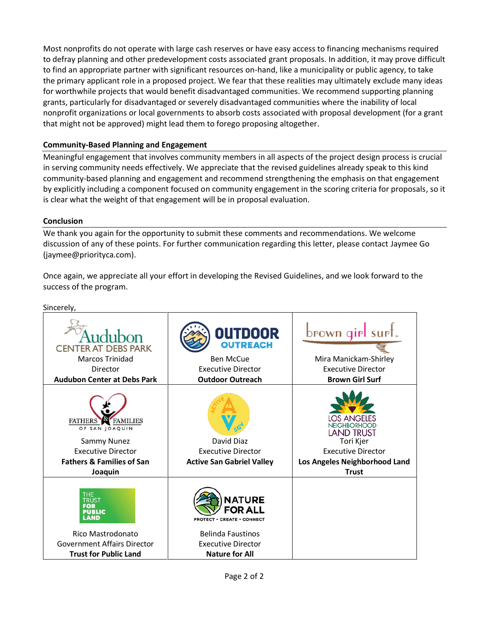Most nonprofits do not operate with large cash reserves or have easy access to financing mechanisms required to defray planning and other predevelopment costs associated grant proposals. In addition, it may prove difficult to find an appropriate partner with significant resources on-hand, like a municipality or public agency, to take the primary applicant role in a proposed project. We fear that these realities may ultimately exclude many ideas for worthwhile projects that would benefit disadvantaged communities. We recommend supporting planning grants, particularly for disadvantaged or severely disadvantaged communities where the inability of local nonprofit organizations or local governments to absorb costs associated with proposal development (for a grant that might not be approved) might lead them to forego proposing altogether.

# **Community-Based Planning and Engagement**

 Meaningful engagement that involves community members in all aspects of the project design process is crucial in serving community needs effectively. We appreciate that the revised guidelines already speak to this kind community-based planning and engagement and recommend strengthening the emphasis on that engagement by explicitly including a component focused on community engagement in the scoring criteria for proposals, so it is clear what the weight of that engagement will be in proposal evaluation.

## **Conclusion**

Sincerely,

 We thank you again for the opportunity to submit these comments and recommendations. We welcome discussion of any of these points. For further communication regarding this letter, please contact Jaymee Go (jaymee@priorityca.com).

 Once again, we appreciate all your effort in developing the Revised Guidelines, and we look forward to the success of the program.

| ,,,,,,,,,,                                                                                                                                         |                                                                                                                                                 |                                                                                                                                                    |
|----------------------------------------------------------------------------------------------------------------------------------------------------|-------------------------------------------------------------------------------------------------------------------------------------------------|----------------------------------------------------------------------------------------------------------------------------------------------------|
| <b>CENTER AT DEBS PARK</b><br><b>Marcos Trinidad</b><br>Director<br><b>Audubon Center at Debs Park</b>                                             | <b>OUTDOOR</b><br><b>OUTREACH</b><br><b>Ben McCue</b><br><b>Executive Director</b><br><b>Outdoor Outreach</b>                                   | brown girl surt.<br>Mira Manickam-Shirley<br><b>Executive Director</b><br><b>Brown Girl Surf</b>                                                   |
| <b>FAMILIES</b><br><b>FATHERS</b><br>OF SAN JOAQUIN<br>Sammy Nunez<br><b>Executive Director</b><br><b>Fathers &amp; Families of San</b><br>Joaquin | David Diaz<br><b>Executive Director</b><br><b>Active San Gabriel Valley</b>                                                                     | LOS ANGELES<br><b>NEIGHBORHOOD</b><br><b>LAND TRUST</b><br>Tori Kjer<br><b>Executive Director</b><br>Los Angeles Neighborhood Land<br><b>Trust</b> |
| THE<br>frust<br><b>PUBLIC</b><br>LAND<br>Rico Mastrodonato<br><b>Government Affairs Director</b><br><b>Trust for Public Land</b>                   | <b>NATURE</b><br>FOR ALL<br><b>PROTECT • CREATE • CONNECT</b><br><b>Belinda Faustinos</b><br><b>Executive Director</b><br><b>Nature for All</b> |                                                                                                                                                    |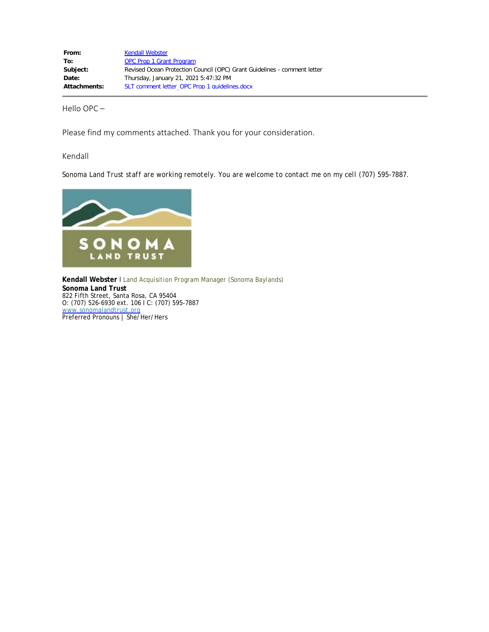| From:               | <b>Kendall Webster</b>                                                   |
|---------------------|--------------------------------------------------------------------------|
| To:                 | <b>OPC Prop 1 Grant Program</b>                                          |
| Subject:            | Revised Ocean Protection Council (OPC) Grant Guidelines - comment letter |
| Date:               | Thursday, January 21, 2021 5:47:32 PM                                    |
| <b>Attachments:</b> | SLT comment letter OPC Prop 1 quidelines.docx                            |

Hello OPC –

Please find my comments attached. Thank you for your consideration.

Kendall

 *Sonoma Land Trust staff are working remotely. You are welcome to contact me on my cell (707) 595-7887.* 



**Kendall Webster I** Land Acquisition Program Manager (Sonoma Baylands)  **Sonoma Land Trust**  822 Fifth Street, Santa Rosa, CA 95404 O: (707) 526-6930 ext. 106 I C: (707) 595-7887 [www.sonomalandtrust.org](http://www.sonomalandtrust.org/)  Preferred Pronouns | She/Her/Hers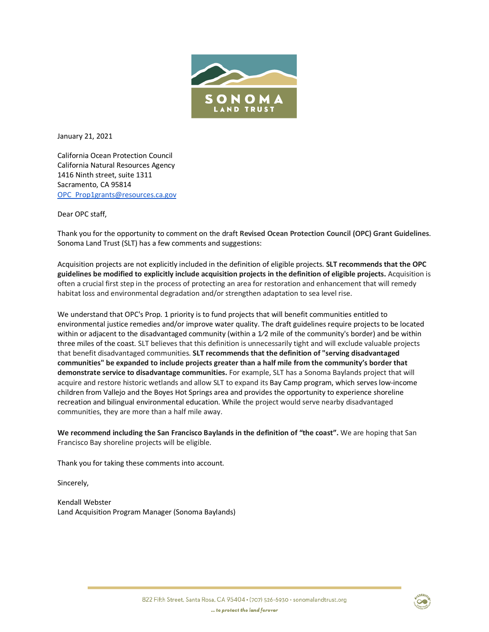

January 21, 2021

California Ocean Protection Council California Natural Resources Agency 1416 Ninth street, suite 1311 Sacramento, CA 95814 OPC\_Prop1grants@resources.ca.gov

Dear OPC staff,

 Sonoma Land Trust (SLT) has a few comments and suggestions: Thank you for the opportunity to comment on the draft **Revised Ocean Protection Council (OPC) Grant Guidelines**.

 Acquisition projects are not explicitly included in the definition of eligible projects. **SLT recommends that the OPC guidelines be modified to explicitly include acquisition projects in the definition of eligible projects.** Acquisition is often a crucial first step in the process of protecting an area for restoration and enhancement that will remedy habitat loss and environmental degradation and/or strengthen adaptation to sea level rise.

 We understand that OPC's Prop. 1 priority is to fund projects that will benefit communities entitled to environmental justice remedies and/or improve water quality. The draft guidelines require projects to be located within or adjacent to the disadvantaged community (within a  $1/2$  mile of the community's border) and be within three miles of the coast. SLT believes that this definition is unnecessarily tight and will exclude valuable projects  **communities" be expanded to include projects greater than a half mile from the community's border that demonstrate service to disadvantage communities.** For example, SLT has a Sonoma Baylands project that will that benefit disadvantaged communities. **SLT recommends that the definition of "serving disadvantaged**  acquire and restore historic wetlands and allow SLT to expand its Bay Camp program, which serves low-income children from Vallejo and the Boyes Hot Springs area and provides the opportunity to experience shoreline recreation and bilingual environmental education. While the project would serve nearby disadvantaged communities, they are more than a half mile away.

 Francisco Bay shoreline projects will be eligible. **We recommend including the San Francisco Baylands in the definition of "the coast".** We are hoping that San

Thank you for taking these comments into account.

Sincerely,

Kendall Webster Land Acquisition Program Manager (Sonoma Baylands)

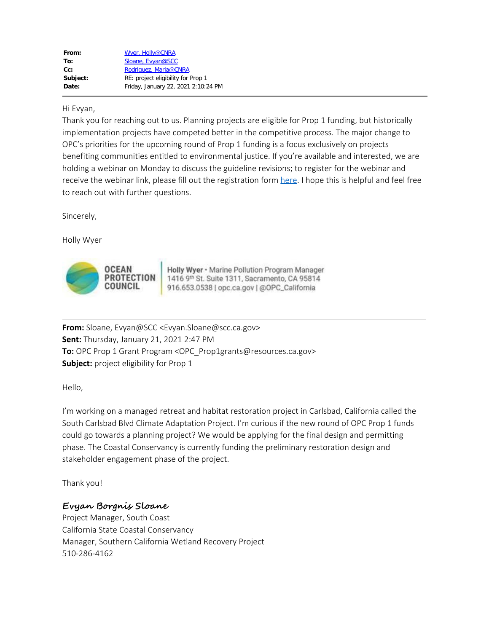| Wyer, Holly@CNRA                    |
|-------------------------------------|
| Sloane, Evyan@SCC                   |
| Rodriguez, Maria@CNRA               |
| RE: project eligibility for Prop 1  |
| Friday, January 22, 2021 2:10:24 PM |
|                                     |

#### Hi Evyan,

Thank you for reaching out to us. Planning projects are eligible for Prop 1 funding, but historically implementation projects have competed better in the competitive process. The major change to OPC's priorities for the upcoming round of Prop 1 funding is a focus exclusively on projects benefiting communities entitled to environmental justice. If you're available and interested, we are holding a webinar on Monday to discuss the guideline revisions; to register for the webinar and receive the webinar link, please fill out the registration form [here](https://forms.gle/zzfE4M8BiRcwVRDy6). I hope this is helpful and feel free to reach out with further questions.

Sincerely,

Holly Wyer



**Holly Wyer • Marine Pollution Program Manager** 1416 9th St. Suite 1311, Sacramento, CA 95814 **916.653.05'38** I ope.ca.gov I @QPC\_Califomla

**From:** Sloane, Evyan@SCC <Evyan.Sloane@scc.ca.gov> **Sent:** Thursday, January 21, 2021 2:47 PM **To:** OPC Prop 1 Grant Program <OPC Prop1grants@resources.ca.gov> **Subject:** project eligibility for Prop 1

Hello,

I'm working on a managed retreat and habitat restoration project in Carlsbad, California called the South Carlsbad Blvd Climate Adaptation Project. I'm curious if the new round of OPC Prop 1 funds could go towards a planning project? We would be applying for the final design and permitting phase. The Coastal Conservancy is currently funding the preliminary restoration design and stakeholder engagement phase of the project.

Thank you!

# **Evyan Borgnis Sloane**

Project Manager, South Coast California State Coastal Conservancy Manager, Southern California Wetland Recovery Project 510-286-4162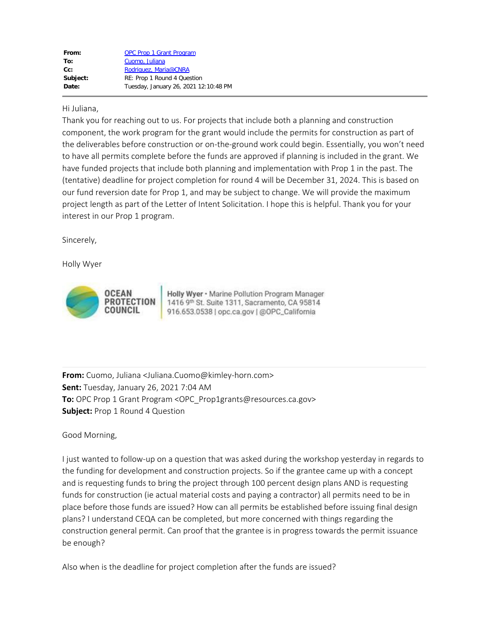| From:    | <b>OPC Prop 1 Grant Program</b>       |
|----------|---------------------------------------|
| To:      | Cuomo, Juliana                        |
| $Cc$ :   | Rodriguez, Maria@CNRA                 |
| Subject: | RE: Prop 1 Round 4 Question           |
| Date:    | Tuesday, January 26, 2021 12:10:48 PM |

#### Hi Juliana,

Thank you for reaching out to us. For projects that include both a planning and construction component, the work program for the grant would include the permits for construction as part of the deliverables before construction or on-the-ground work could begin. Essentially, you won't need to have all permits complete before the funds are approved if planning is included in the grant. We have funded projects that include both planning and implementation with Prop 1 in the past. The (tentative) deadline for project completion for round 4 will be December 31, 2024. This is based on our fund reversion date for Prop 1, and may be subject to change. We will provide the maximum project length as part of the Letter of Intent Solicitation. I hope this is helpful. Thank you for your interest in our Prop 1 program.

Sincerely,

Holly Wyer



Holly Wyer · Marine Pollution Program Manager 1416 9th St. Suite 1311, Sacramento, CA 95814 916.653.0538 | opc.ca.gov | @OPC\_California

**From:** Cuomo, Juliana <Juliana.Cuomo@kimley-horn.com> **Sent:** Tuesday, January 26, 2021 7:04 AM **To:** OPC Prop 1 Grant Program <OPC\_Prop1grants@resources.ca.gov> **Subject:** Prop 1 Round 4 Question

Good Morning,

I just wanted to follow-up on a question that was asked during the workshop yesterday in regards to the funding for development and construction projects. So if the grantee came up with a concept and is requesting funds to bring the project through 100 percent design plans AND is requesting funds for construction (ie actual material costs and paying a contractor) all permits need to be in place before those funds are issued? How can all permits be established before issuing final design plans? I understand CEQA can be completed, but more concerned with things regarding the construction general permit. Can proof that the grantee is in progress towards the permit issuance be enough?

Also when is the deadline for project completion after the funds are issued?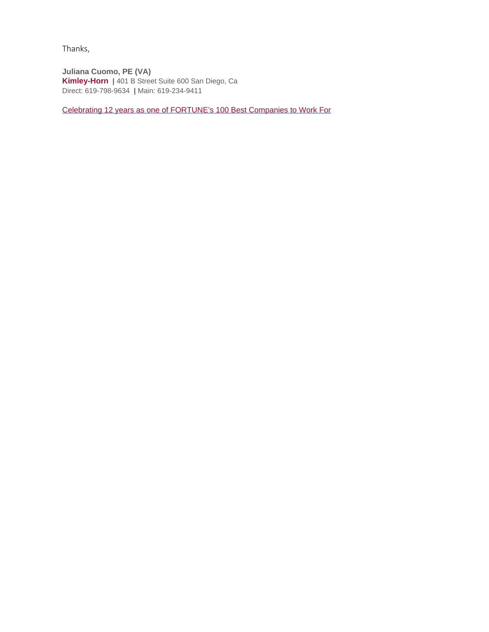Thanks,

 **Kimley-Horn |** 401 B Street Suite 600 San Diego, Ca Direct: 619-798-9634 **|** Main: 619-234-9411 **Juliana Cuomo, PE (VA)** 

[Celebrating 12 years as one of FORTUNE's 100 Best Companies to Work For](http://beta.fortune.com/best-companies/kimley-horn-11)